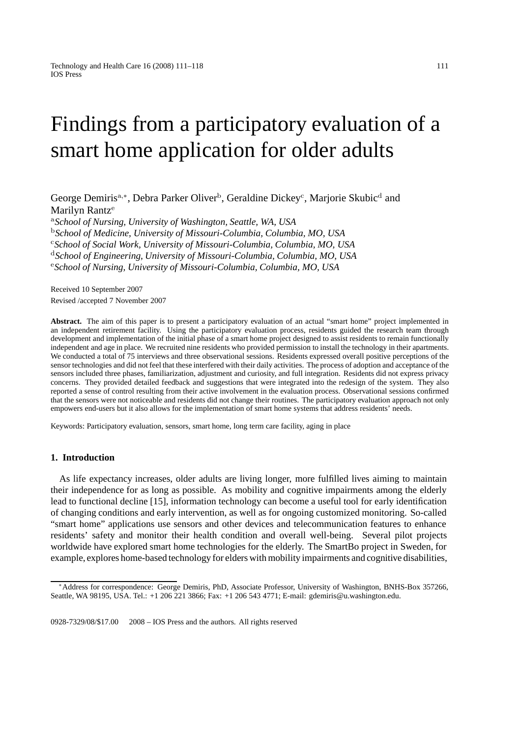# Findings from a participatory evaluation of a smart home application for older adults

George Demiris<sup>a,∗</sup>, Debra Parker Oliver<sup>b</sup>, Geraldine Dickey<sup>c</sup>, Marjorie Skubic<sup>d</sup> and Marilyn Rantz<sup>e</sup>

<sup>a</sup>*School of Nursing, University of Washington, Seattle, WA, USA* <sup>b</sup>*School of Medicine, University of Missouri-Columbia, Columbia, MO, USA* <sup>c</sup>*School of Social Work, University of Missouri-Columbia, Columbia, MO, USA* <sup>d</sup>*School of Engineering, University of Missouri-Columbia, Columbia, MO, USA* <sup>e</sup>*School of Nursing, University of Missouri-Columbia, Columbia, MO, USA*

Received 10 September 2007 Revised /accepted 7 November 2007

**Abstract.** The aim of this paper is to present a participatory evaluation of an actual "smart home" project implemented in an independent retirement facility. Using the participatory evaluation process, residents guided the research team through development and implementation of the initial phase of a smart home project designed to assist residents to remain functionally independent and age in place. We recruited nine residents who provided permission to install the technology in their apartments. We conducted a total of 75 interviews and three observational sessions. Residents expressed overall positive perceptions of the sensor technologies and did not feel that these interfered with their daily activities. The process of adoption and acceptance of the sensors included three phases, familiarization, adjustment and curiosity, and full integration. Residents did not express privacy concerns. They provided detailed feedback and suggestions that were integrated into the redesign of the system. They also reported a sense of control resulting from their active involvement in the evaluation process. Observational sessions confirmed that the sensors were not noticeable and residents did not change their routines. The participatory evaluation approach not only empowers end-users but it also allows for the implementation of smart home systems that address residents' needs.

Keywords: Participatory evaluation, sensors, smart home, long term care facility, aging in place

#### **1. Introduction**

As life expectancy increases, older adults are living longer, more fulfilled lives aiming to maintain their independence for as long as possible. As mobility and cognitive impairments among the elderly lead to functional decline [15], information technology can become a useful tool for early identification of changing conditions and early intervention, as well as for ongoing customized monitoring. So-called "smart home" applications use sensors and other devices and telecommunication features to enhance residents' safety and monitor their health condition and overall well-being. Several pilot projects worldwide have explored smart home technologies for the elderly. The SmartBo project in Sweden, for example, explores home-based technology for elders with mobility impairments and cognitive disabilities,

<sup>∗</sup>Address for correspondence: George Demiris, PhD, Associate Professor, University of Washington, BNHS-Box 357266, Seattle, WA 98195, USA. Tel.: +1 206 221 3866; Fax: +1 206 543 4771; E-mail: gdemiris@u.washington.edu.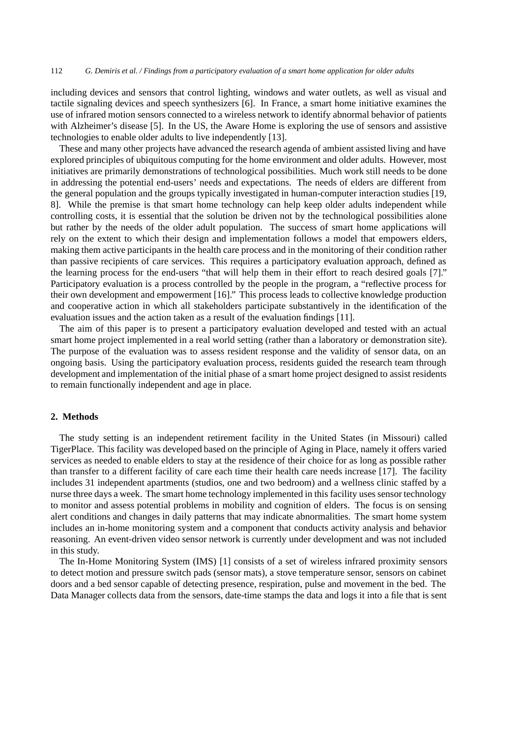#### 112 *G. Demiris et al. / Findings from a participatory evaluation of a smart home application for older adults*

including devices and sensors that control lighting, windows and water outlets, as well as visual and tactile signaling devices and speech synthesizers [6]. In France, a smart home initiative examines the use of infrared motion sensors connected to a wireless network to identify abnormal behavior of patients with Alzheimer's disease [5]. In the US, the Aware Home is exploring the use of sensors and assistive technologies to enable older adults to live independently [13].

These and many other projects have advanced the research agenda of ambient assisted living and have explored principles of ubiquitous computing for the home environment and older adults. However, most initiatives are primarily demonstrations of technological possibilities. Much work still needs to be done in addressing the potential end-users' needs and expectations. The needs of elders are different from the general population and the groups typically investigated in human-computer interaction studies [19, 8]. While the premise is that smart home technology can help keep older adults independent while controlling costs, it is essential that the solution be driven not by the technological possibilities alone but rather by the needs of the older adult population. The success of smart home applications will rely on the extent to which their design and implementation follows a model that empowers elders, making them active participants in the health care process and in the monitoring of their condition rather than passive recipients of care services. This requires a participatory evaluation approach, defined as the learning process for the end-users "that will help them in their effort to reach desired goals [7]." Participatory evaluation is a process controlled by the people in the program, a "reflective process for their own development and empowerment [16]." This process leads to collective knowledge production and cooperative action in which all stakeholders participate substantively in the identification of the evaluation issues and the action taken as a result of the evaluation findings [11].

The aim of this paper is to present a participatory evaluation developed and tested with an actual smart home project implemented in a real world setting (rather than a laboratory or demonstration site). The purpose of the evaluation was to assess resident response and the validity of sensor data, on an ongoing basis. Using the participatory evaluation process, residents guided the research team through development and implementation of the initial phase of a smart home project designed to assist residents to remain functionally independent and age in place.

### **2. Methods**

The study setting is an independent retirement facility in the United States (in Missouri) called TigerPlace. This facility was developed based on the principle of Aging in Place, namely it offers varied services as needed to enable elders to stay at the residence of their choice for as long as possible rather than transfer to a different facility of care each time their health care needs increase [17]. The facility includes 31 independent apartments (studios, one and two bedroom) and a wellness clinic staffed by a nurse three days a week. The smart home technology implemented in this facility uses sensor technology to monitor and assess potential problems in mobility and cognition of elders. The focus is on sensing alert conditions and changes in daily patterns that may indicate abnormalities. The smart home system includes an in-home monitoring system and a component that conducts activity analysis and behavior reasoning. An event-driven video sensor network is currently under development and was not included in this study.

The In-Home Monitoring System (IMS) [1] consists of a set of wireless infrared proximity sensors to detect motion and pressure switch pads (sensor mats), a stove temperature sensor, sensors on cabinet doors and a bed sensor capable of detecting presence, respiration, pulse and movement in the bed. The Data Manager collects data from the sensors, date-time stamps the data and logs it into a file that is sent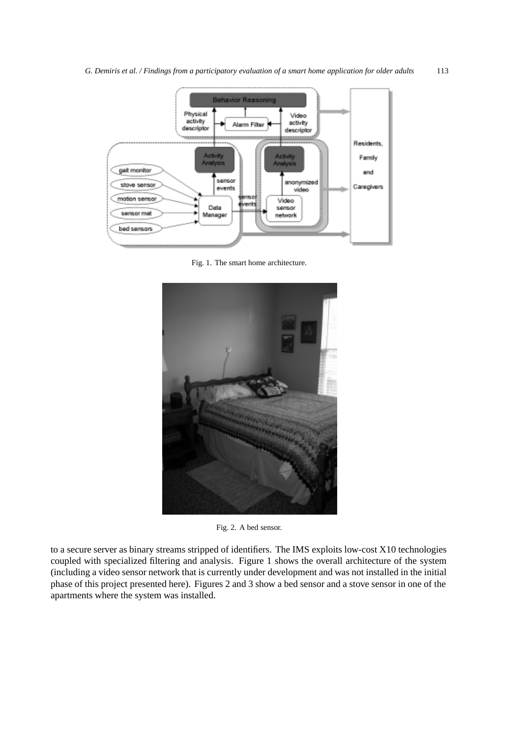*G. Demiris et al. / Findings from a participatory evaluation of a smart home application for older adults* 113



Fig. 1. The smart home architecture.



Fig. 2. A bed sensor.

to a secure server as binary streams stripped of identifiers. The IMS exploits low-cost X10 technologies coupled with specialized filtering and analysis. Figure 1 shows the overall architecture of the system (including a video sensor network that is currently under development and was not installed in the initial phase of this project presented here). Figures 2 and 3 show a bed sensor and a stove sensor in one of the apartments where the system was installed.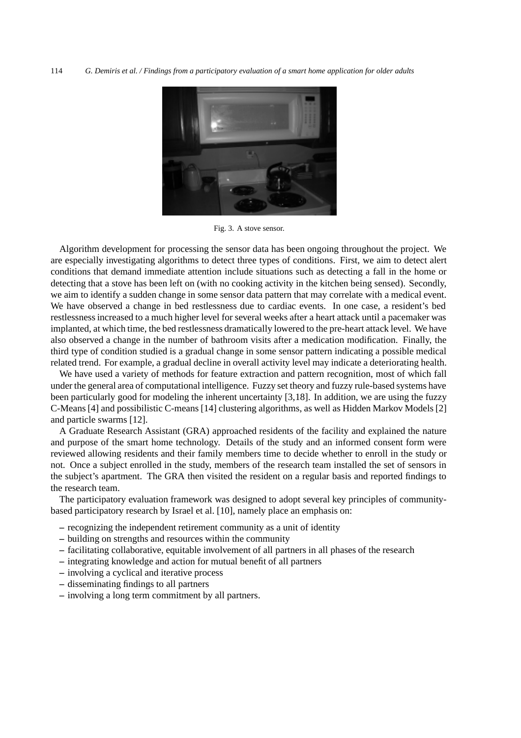114 *G. Demiris et al. / Findings from a participatory evaluation of a smart home application for older adults*



Fig. 3. A stove sensor.

Algorithm development for processing the sensor data has been ongoing throughout the project. We are especially investigating algorithms to detect three types of conditions. First, we aim to detect alert conditions that demand immediate attention include situations such as detecting a fall in the home or detecting that a stove has been left on (with no cooking activity in the kitchen being sensed). Secondly, we aim to identify a sudden change in some sensor data pattern that may correlate with a medical event. We have observed a change in bed restlessness due to cardiac events. In one case, a resident's bed restlessness increased to a much higher level for several weeks after a heart attack until a pacemaker was implanted, at which time, the bed restlessness dramatically lowered to the pre-heart attack level. We have also observed a change in the number of bathroom visits after a medication modification. Finally, the third type of condition studied is a gradual change in some sensor pattern indicating a possible medical related trend. For example, a gradual decline in overall activity level may indicate a deteriorating health.

We have used a variety of methods for feature extraction and pattern recognition, most of which fall under the general area of computational intelligence. Fuzzy set theory and fuzzy rule-based systems have been particularly good for modeling the inherent uncertainty [3,18]. In addition, we are using the fuzzy C-Means [4] and possibilistic C-means [14] clustering algorithms, as well as Hidden Markov Models [2] and particle swarms [12].

A Graduate Research Assistant (GRA) approached residents of the facility and explained the nature and purpose of the smart home technology. Details of the study and an informed consent form were reviewed allowing residents and their family members time to decide whether to enroll in the study or not. Once a subject enrolled in the study, members of the research team installed the set of sensors in the subject's apartment. The GRA then visited the resident on a regular basis and reported findings to the research team.

The participatory evaluation framework was designed to adopt several key principles of communitybased participatory research by Israel et al. [10], namely place an emphasis on:

- **–** recognizing the independent retirement community as a unit of identity
- **–** building on strengths and resources within the community
- **–** facilitating collaborative, equitable involvement of all partners in all phases of the research
- **–** integrating knowledge and action for mutual benefit of all partners
- **–** involving a cyclical and iterative process
- **–** disseminating findings to all partners
- **–** involving a long term commitment by all partners.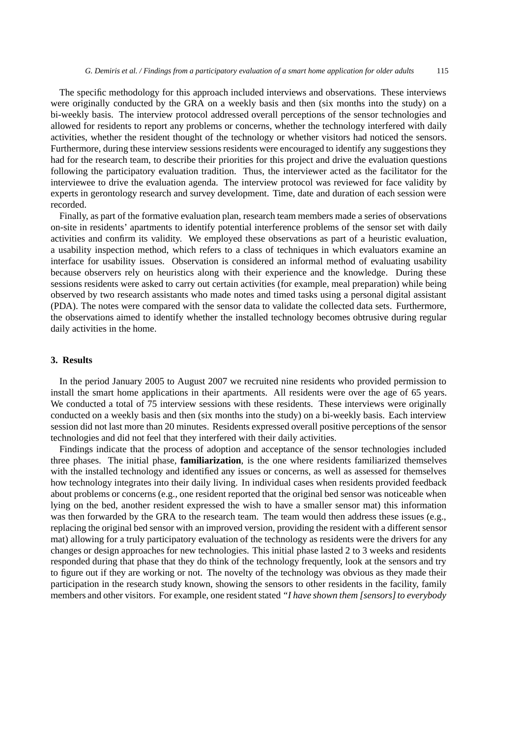The specific methodology for this approach included interviews and observations. These interviews were originally conducted by the GRA on a weekly basis and then (six months into the study) on a bi-weekly basis. The interview protocol addressed overall perceptions of the sensor technologies and allowed for residents to report any problems or concerns, whether the technology interfered with daily activities, whether the resident thought of the technology or whether visitors had noticed the sensors. Furthermore, during these interview sessions residents were encouraged to identify any suggestions they had for the research team, to describe their priorities for this project and drive the evaluation questions following the participatory evaluation tradition. Thus, the interviewer acted as the facilitator for the interviewee to drive the evaluation agenda. The interview protocol was reviewed for face validity by experts in gerontology research and survey development. Time, date and duration of each session were recorded.

Finally, as part of the formative evaluation plan, research team members made a series of observations on-site in residents' apartments to identify potential interference problems of the sensor set with daily activities and confirm its validity. We employed these observations as part of a heuristic evaluation, a usability inspection method, which refers to a class of techniques in which evaluators examine an interface for usability issues. Observation is considered an informal method of evaluating usability because observers rely on heuristics along with their experience and the knowledge. During these sessions residents were asked to carry out certain activities (for example, meal preparation) while being observed by two research assistants who made notes and timed tasks using a personal digital assistant (PDA). The notes were compared with the sensor data to validate the collected data sets. Furthermore, the observations aimed to identify whether the installed technology becomes obtrusive during regular daily activities in the home.

## **3. Results**

In the period January 2005 to August 2007 we recruited nine residents who provided permission to install the smart home applications in their apartments. All residents were over the age of 65 years. We conducted a total of 75 interview sessions with these residents. These interviews were originally conducted on a weekly basis and then (six months into the study) on a bi-weekly basis. Each interview session did not last more than 20 minutes. Residents expressed overall positive perceptions of the sensor technologies and did not feel that they interfered with their daily activities.

Findings indicate that the process of adoption and acceptance of the sensor technologies included three phases. The initial phase, **familiarization**, is the one where residents familiarized themselves with the installed technology and identified any issues or concerns, as well as assessed for themselves how technology integrates into their daily living. In individual cases when residents provided feedback about problems or concerns (e.g., one resident reported that the original bed sensor was noticeable when lying on the bed, another resident expressed the wish to have a smaller sensor mat) this information was then forwarded by the GRA to the research team. The team would then address these issues (e.g., replacing the original bed sensor with an improved version, providing the resident with a different sensor mat) allowing for a truly participatory evaluation of the technology as residents were the drivers for any changes or design approaches for new technologies. This initial phase lasted 2 to 3 weeks and residents responded during that phase that they do think of the technology frequently, look at the sensors and try to figure out if they are working or not. The novelty of the technology was obvious as they made their participation in the research study known, showing the sensors to other residents in the facility, family members and other visitors. For example, one resident stated *"I have shown them [sensors] to everybody*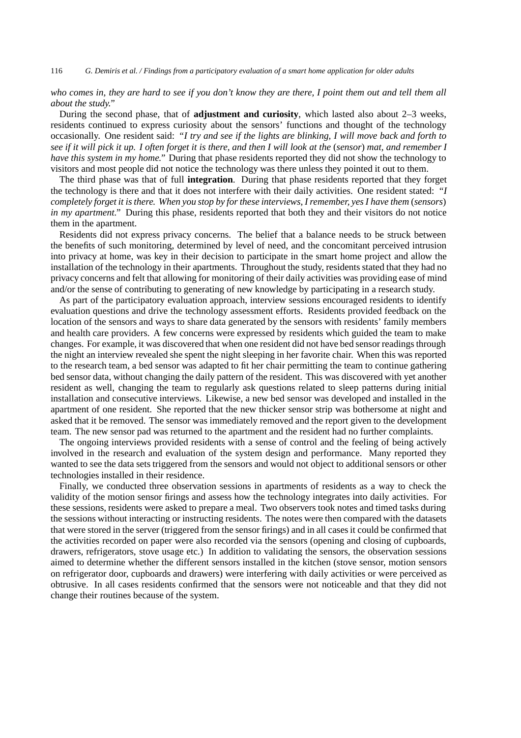116 *G. Demiris et al. / Findings from a participatory evaluation of a smart home application for older adults*

## *who comes in, they are hard to see if you don't know they are there, I point them out and tell them all about the study."*

During the second phase, that of **adjustment and curiosity**, which lasted also about 2–3 weeks, residents continued to express curiosity about the sensors' functions and thought of the technology occasionally. One resident said: *"I try and see if the lights are blinking, I will move back and forth to see if it will pick it up. I often forget it is there, and then I will look at the* (*sensor*) *mat, and remember I have this system in my home."* During that phase residents reported they did not show the technology to visitors and most people did not notice the technology was there unless they pointed it out to them.

The third phase was that of full **integration**. During that phase residents reported that they forget the technology is there and that it does not interfere with their daily activities. One resident stated: *"I completely forget it is there. When you stop by for these interviews, I remember, yes I have them* (*sensors*) *in my apartment."* During this phase, residents reported that both they and their visitors do not notice them in the apartment.

Residents did not express privacy concerns. The belief that a balance needs to be struck between the benefits of such monitoring, determined by level of need, and the concomitant perceived intrusion into privacy at home, was key in their decision to participate in the smart home project and allow the installation of the technology in their apartments. Throughout the study, residents stated that they had no privacy concerns and felt that allowing for monitoring of their daily activities was providing ease of mind and/or the sense of contributing to generating of new knowledge by participating in a research study.

As part of the participatory evaluation approach, interview sessions encouraged residents to identify evaluation questions and drive the technology assessment efforts. Residents provided feedback on the location of the sensors and ways to share data generated by the sensors with residents' family members and health care providers. A few concerns were expressed by residents which guided the team to make changes. For example, it was discovered that when one resident did not have bed sensor readings through the night an interview revealed she spent the night sleeping in her favorite chair. When this was reported to the research team, a bed sensor was adapted to fit her chair permitting the team to continue gathering bed sensor data, without changing the daily pattern of the resident. This was discovered with yet another resident as well, changing the team to regularly ask questions related to sleep patterns during initial installation and consecutive interviews. Likewise, a new bed sensor was developed and installed in the apartment of one resident. She reported that the new thicker sensor strip was bothersome at night and asked that it be removed. The sensor was immediately removed and the report given to the development team. The new sensor pad was returned to the apartment and the resident had no further complaints.

The ongoing interviews provided residents with a sense of control and the feeling of being actively involved in the research and evaluation of the system design and performance. Many reported they wanted to see the data sets triggered from the sensors and would not object to additional sensors or other technologies installed in their residence.

Finally, we conducted three observation sessions in apartments of residents as a way to check the validity of the motion sensor firings and assess how the technology integrates into daily activities. For these sessions, residents were asked to prepare a meal. Two observers took notes and timed tasks during the sessions without interacting or instructing residents. The notes were then compared with the datasets that were stored in the server (triggered from the sensor firings) and in all cases it could be confirmed that the activities recorded on paper were also recorded via the sensors (opening and closing of cupboards, drawers, refrigerators, stove usage etc.) In addition to validating the sensors, the observation sessions aimed to determine whether the different sensors installed in the kitchen (stove sensor, motion sensors on refrigerator door, cupboards and drawers) were interfering with daily activities or were perceived as obtrusive. In all cases residents confirmed that the sensors were not noticeable and that they did not change their routines because of the system.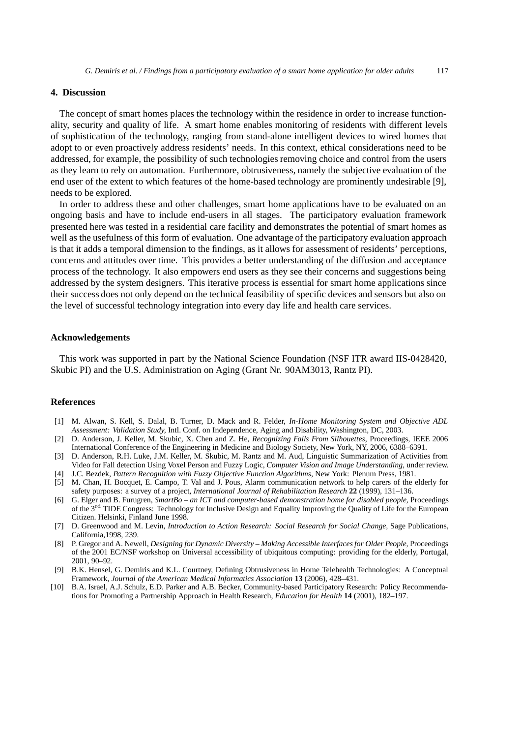# **4. Discussion**

The concept of smart homes places the technology within the residence in order to increase functionality, security and quality of life. A smart home enables monitoring of residents with different levels of sophistication of the technology, ranging from stand-alone intelligent devices to wired homes that adopt to or even proactively address residents' needs. In this context, ethical considerations need to be addressed, for example, the possibility of such technologies removing choice and control from the users as they learn to rely on automation. Furthermore, obtrusiveness, namely the subjective evaluation of the end user of the extent to which features of the home-based technology are prominently undesirable [9], needs to be explored.

In order to address these and other challenges, smart home applications have to be evaluated on an ongoing basis and have to include end-users in all stages. The participatory evaluation framework presented here was tested in a residential care facility and demonstrates the potential of smart homes as well as the usefulness of this form of evaluation. One advantage of the participatory evaluation approach is that it adds a temporal dimension to the findings, as it allows for assessment of residents' perceptions, concerns and attitudes over time. This provides a better understanding of the diffusion and acceptance process of the technology. It also empowers end users as they see their concerns and suggestions being addressed by the system designers. This iterative process is essential for smart home applications since their success does not only depend on the technical feasibility of specific devices and sensors but also on the level of successful technology integration into every day life and health care services.

#### **Acknowledgements**

This work was supported in part by the National Science Foundation (NSF ITR award IIS-0428420, Skubic PI) and the U.S. Administration on Aging (Grant Nr. 90AM3013, Rantz PI).

#### **References**

- [1] M. Alwan, S. Kell, S. Dalal, B. Turner, D. Mack and R. Felder, *In-Home Monitoring System and Objective ADL Assessment: Validation Study,* Intl. Conf. on Independence, Aging and Disability, Washington, DC, 2003.
- [2] D. Anderson, J. Keller, M. Skubic, X. Chen and Z. He, *Recognizing Falls From Silhouettes,* Proceedings, IEEE 2006 International Conference of the Engineering in Medicine and Biology Society, New York, NY, 2006, 6388–6391.
- [3] D. Anderson, R.H. Luke, J.M. Keller, M. Skubic, M. Rantz and M. Aud, Linguistic Summarization of Activities from Video for Fall detection Using Voxel Person and Fuzzy Logic, *Computer Vision and Image Understanding*, under review. [4] J.C. Bezdek, *Pattern Recognition with Fuzzy Objective Function Algorithms,* New York: Plenum Press, 1981.
- [5] M. Chan, H. Bocquet, E. Campo, T. Val and J. Pous, Alarm communication network to help carers of the elderly for safety purposes: a survey of a project, *International Journal of Rehabilitation Research* **22** (1999), 131–136.
- [6] G. Elger and B. Furugren, *SmartBo an ICT and computer-based demonstration home for disabled people,* Proceedings of the 3<sup>rd</sup> TIDE Congress: Technology for Inclusive Design and Equality Improving the Quality of Life for the European Citizen. Helsinki, Finland June 1998.
- [7] D. Greenwood and M. Levin, *Introduction to Action Research: Social Research for Social Change,* Sage Publications, California,1998, 239.
- [8] P. Gregor and A. Newell, *Designing for Dynamic Diversity Making Accessible Interfaces for Older People,* Proceedings of the 2001 EC/NSF workshop on Universal accessibility of ubiquitous computing: providing for the elderly, Portugal, 2001, 90–92.
- [9] B.K. Hensel, G. Demiris and K.L. Courtney, Defining Obtrusiveness in Home Telehealth Technologies: A Conceptual Framework, *Journal of the American Medical Informatics Association* **13** (2006), 428–431.
- [10] B.A. Israel, A.J. Schulz, E.D. Parker and A.B. Becker, Community-based Participatory Research: Policy Recommendations for Promoting a Partnership Approach in Health Research, *Education for Health* **14** (2001), 182–197.